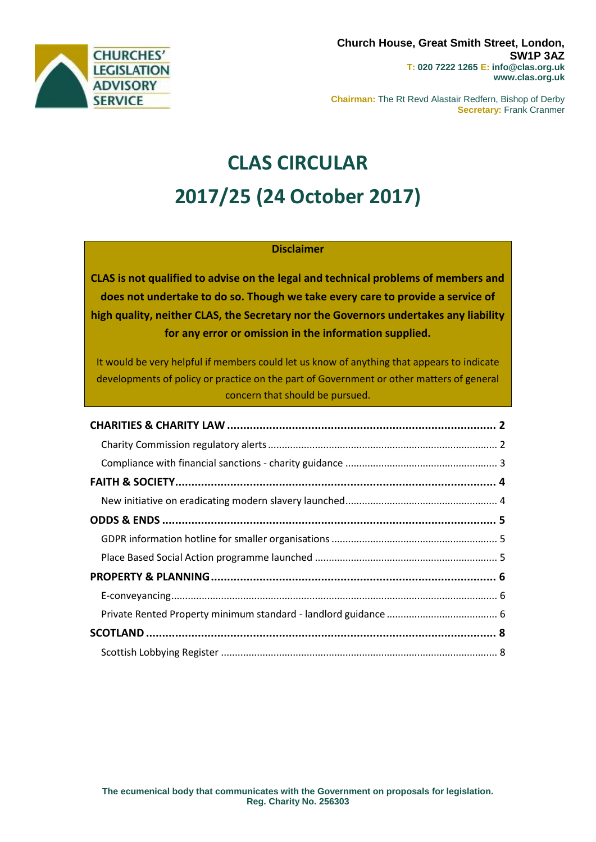

**Chairman:** The Rt Revd Alastair Redfern, Bishop of Derby **Secretary:** Frank Cranmer

# **CLAS CIRCULAR 2017/25 (24 October 2017)**

## **Disclaimer**

**CLAS is not qualified to advise on the legal and technical problems of members and does not undertake to do so. Though we take every care to provide a service of high quality, neither CLAS, the Secretary nor the Governors undertakes any liability for any error or omission in the information supplied.**

It would be very helpful if members could let us know of anything that appears to indicate developments of policy or practice on the part of Government or other matters of general concern that should be pursued.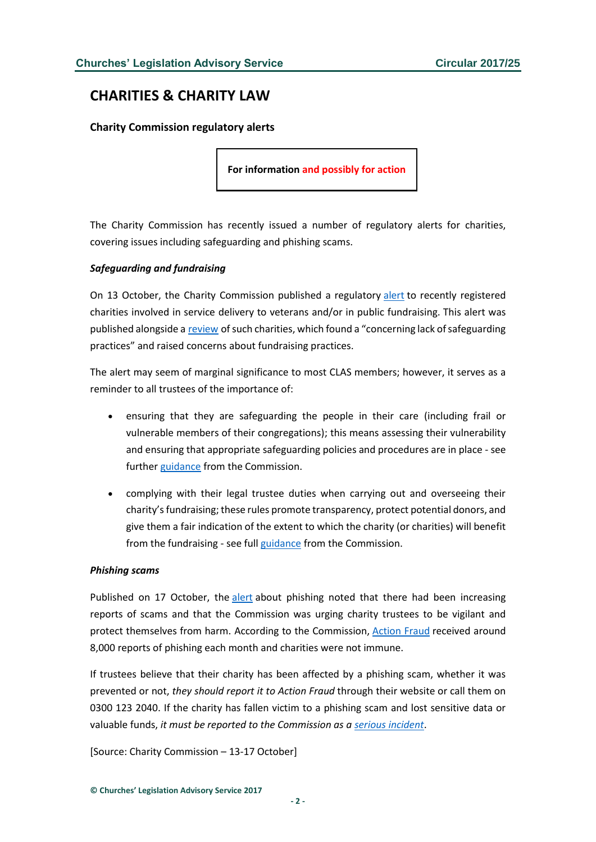# <span id="page-1-0"></span>**CHARITIES & CHARITY LAW**

### <span id="page-1-1"></span>**Charity Commission regulatory alerts**

**For information and possibly for action**

The Charity Commission has recently issued a number of regulatory alerts for charities, covering issues including safeguarding and phishing scams.

#### *Safeguarding and fundraising*

On 13 October, the Charity Commission published a regulatory [alert](http://www.gov.uk/government/news/regulatory-alert-for-military-charities) to recently registered charities involved in service delivery to veterans and/or in public fundraising. This alert was published alongside a [review](http://www.gov.uk/government/publications/military-charities-group-case-report) of such charities, which found a "concerning lack of safeguarding practices" and raised concerns about fundraising practices.

The alert may seem of marginal significance to most CLAS members; however, it serves as a reminder to all trustees of the importance of:

- ensuring that they are safeguarding the people in their care (including frail or vulnerable members of their congregations); this means assessing their vulnerability and ensuring that appropriate safeguarding policies and procedures are in place - see further [guidance](http://www.gov.uk/guidance/charities-how-to-protect-vulnerable-groups-including-children) from the Commission.
- complying with their legal trustee duties when carrying out and overseeing their charity's fundraising; these rules promote transparency, protect potential donors, and give them a fair indication of the extent to which the charity (or charities) will benefit from the fundraising - see full [guidance](http://www.gov.uk/government/publications/charities-and-fundraising-cc20) from the Commission.

#### *Phishing scams*

Published on 17 October, the [alert](http://www.gov.uk/government/news/keep-your-charity-safe-watch-out-for-phishing-scams) about phishing noted that there had been increasing reports of scams and that the Commission was urging charity trustees to be vigilant and protect themselves from harm. According to the Commission, [Action Fraud](http://www.actionfraud.police.uk/) received around 8,000 reports of phishing each month and charities were not immune.

If trustees believe that their charity has been affected by a phishing scam, whether it was prevented or not, *they should report it to Action Fraud* through their website or call them on 0300 123 2040. If the charity has fallen victim to a phishing scam and lost sensitive data or valuable funds, *it must be reported to the Commission as a [serious incident](http://www.gov.uk/guidance/how-to-report-a-serious-incident-in-your-charity)*.

[Source: Charity Commission – 13-17 October]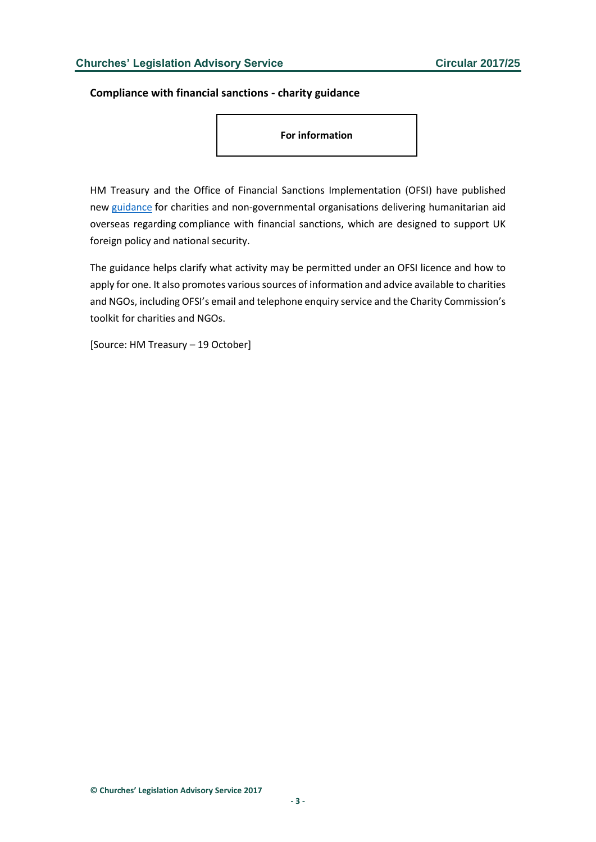<span id="page-2-0"></span>**Compliance with financial sanctions - charity guidance**

**For information**

HM Treasury and the Office of Financial Sanctions Implementation (OFSI) have published new [guidance](http://www.gov.uk/government/publications/financial-sanctions-faqs) for charities and non-governmental organisations delivering humanitarian aid overseas regarding compliance with financial sanctions, which are designed to support UK foreign policy and national security.

The guidance helps clarify what activity may be permitted under an OFSI licence and how to apply for one. It also promotes various sources of information and advice available to charities and NGOs, including OFSI's email and telephone enquiry service and the Charity Commission's toolkit for charities and NGOs.

[Source: HM Treasury – 19 October]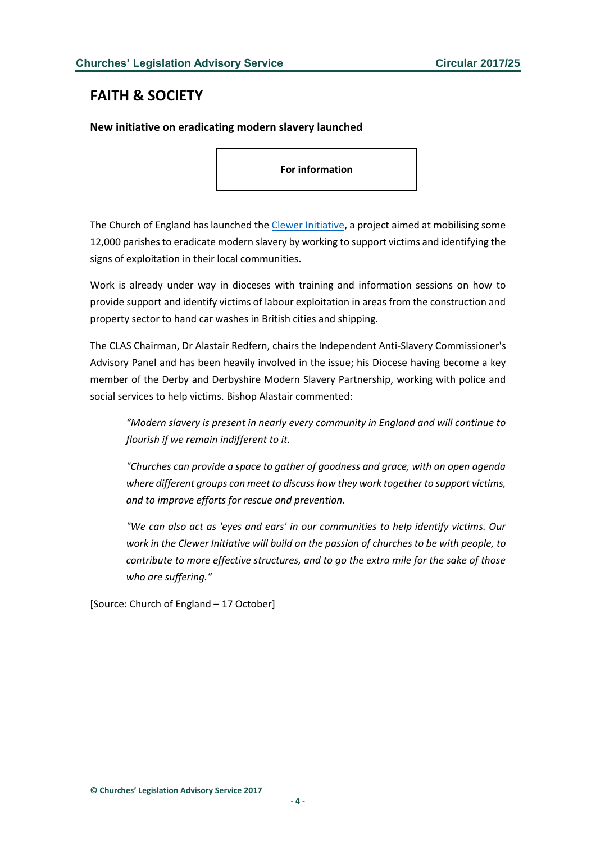# <span id="page-3-0"></span>**FAITH & SOCIETY**

<span id="page-3-1"></span>**New initiative on eradicating modern slavery launched**

**For information**

The Church of England has launched th[e Clewer Initiative,](https://www.theclewerinitiative.org/) a project aimed at mobilising some 12,000 parishes to eradicate modern slavery by working to support victims and identifying the signs of exploitation in their local communities.

Work is already under way in dioceses with training and information sessions on how to provide support and identify victims of labour exploitation in areas from the construction and property sector to hand car washes in British cities and shipping.

The CLAS Chairman, Dr Alastair Redfern, chairs the Independent Anti-Slavery Commissioner's Advisory Panel and has been heavily involved in the issue; his Diocese having become a key member of the Derby and Derbyshire Modern Slavery Partnership, working with police and social services to help victims. Bishop Alastair commented:

*"Modern slavery is present in nearly every community in England and will continue to flourish if we remain indifferent to it.*

*"Churches can provide a space to gather of goodness and grace, with an open agenda where different groups can meet to discuss how they work together to support victims, and to improve efforts for rescue and prevention.* 

*"We can also act as 'eyes and ears' in our communities to help identify victims. Our work in the Clewer Initiative will build on the passion of churches to be with people, to contribute to more effective structures, and to go the extra mile for the sake of those who are suffering."*

[Source: Church of England – 17 October]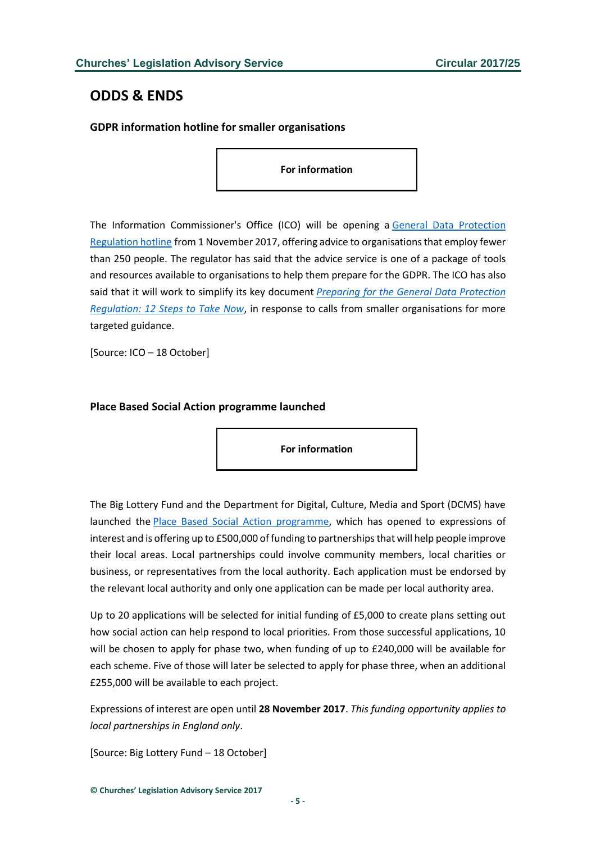# <span id="page-4-0"></span>**ODDS & ENDS**

## <span id="page-4-1"></span>**GDPR information hotline for smaller organisations**

**For information**

The Information Commissioner's Office (ICO) will be opening a [General Data Protection](http://ico.org.uk/about-the-ico/news-and-events/news-and-blogs/2017/10/ico-announces-more-help-for-small-and-micro-businesses/)  [Regulation hotline](http://ico.org.uk/about-the-ico/news-and-events/news-and-blogs/2017/10/ico-announces-more-help-for-small-and-micro-businesses/) from 1 November 2017, offering advice to organisations that employ fewer than 250 people. The regulator has said that the advice service is one of a package of tools and resources available to organisations to help them prepare for the GDPR. The ICO has also said that it will work to simplify its key document *[Preparing for the General Data Protection](http://ico.org.uk/media/for-organisations/documents/1624219/preparing-for-the-gdpr-12-steps.pdf)  [Regulation: 12 Steps to Take Now](http://ico.org.uk/media/for-organisations/documents/1624219/preparing-for-the-gdpr-12-steps.pdf)*, in response to calls from smaller organisations for more targeted guidance.

[Source: ICO – 18 October]

### <span id="page-4-2"></span>**Place Based Social Action programme launched**

**For information**

The Big Lottery Fund and the Department for Digital, Culture, Media and Sport (DCMS) have launched the [Place Based Social Action programme,](http://www.biglotteryfund.org.uk/global-content/programmes/england/place-based-social-action) which has opened to expressions of interest and is offering up to £500,000 of funding to partnerships that will help people improve their local areas. Local partnerships could involve community members, local charities or business, or representatives from the local authority. Each application must be endorsed by the relevant local authority and only one application can be made per local authority area.

Up to 20 applications will be selected for initial funding of £5,000 to create plans setting out how social action can help respond to local priorities. From those successful applications, 10 will be chosen to apply for phase two, when funding of up to £240,000 will be available for each scheme. Five of those will later be selected to apply for phase three, when an additional £255,000 will be available to each project.

Expressions of interest are open until **28 November 2017**. *This funding opportunity applies to local partnerships in England only*.

[Source: Big Lottery Fund – 18 October]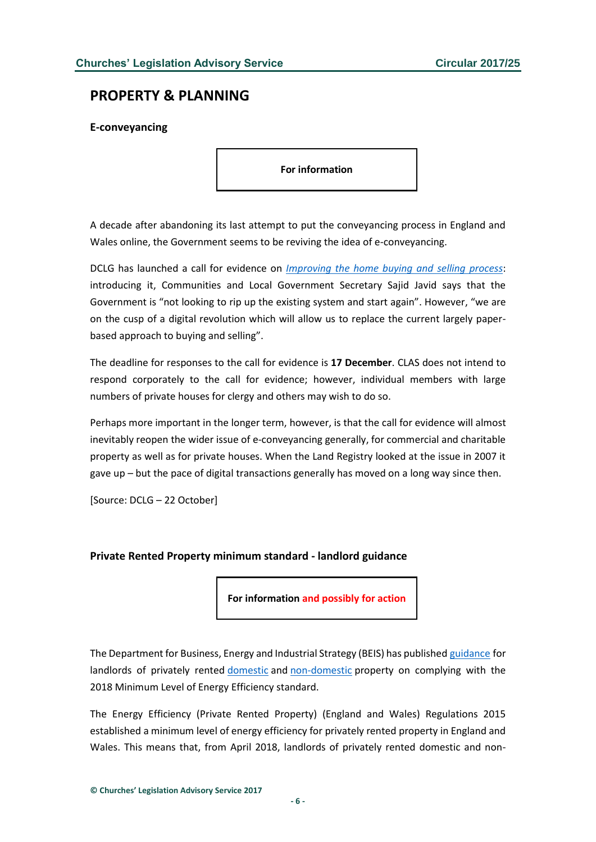## <span id="page-5-0"></span>**PROPERTY & PLANNING**

<span id="page-5-1"></span>**E-conveyancing**

**For information**

A decade after abandoning its last attempt to put the conveyancing process in England and Wales online, the Government seems to be reviving the idea of e-conveyancing.

DCLG has launched a call for evidence on *[Improving the home buying and selling process](https://www.gov.uk/government/uploads/system/uploads/attachment_data/file/653789/Home_buying_and_selling.pdf)*: introducing it, Communities and Local Government Secretary Sajid Javid says that the Government is "not looking to rip up the existing system and start again". However, "we are on the cusp of a digital revolution which will allow us to replace the current largely paperbased approach to buying and selling".

The deadline for responses to the call for evidence is **17 December**. CLAS does not intend to respond corporately to the call for evidence; however, individual members with large numbers of private houses for clergy and others may wish to do so.

Perhaps more important in the longer term, however, is that the call for evidence will almost inevitably reopen the wider issue of e-conveyancing generally, for commercial and charitable property as well as for private houses. When the Land Registry looked at the issue in 2007 it gave up – but the pace of digital transactions generally has moved on a long way since then.

[Source: DCLG – 22 October]

#### <span id="page-5-2"></span>**Private Rented Property minimum standard - landlord guidance**

**For information and possibly for action**

The Department for Business, Energy and Industrial Strategy (BEIS) has published [guidance](http://www.gov.uk/government/publications/the-private-rented-property-minimum-standard-landlord-guidance-documents) for landlords of privately rented [domestic](http://www.gov.uk/government/uploads/system/uploads/attachment_data/file/650467/27_09_17_Domestic_Private_Rented_Landlord_Guidance_-_Final_Version.pdf) and [non-domestic](http://www.gov.uk/government/uploads/system/uploads/attachment_data/file/647992/Non-Dom_Private_Rented_Property_Minimum_Standard_-_Landlord_Guidance__2_.pdf) property on complying with the 2018 Minimum Level of Energy Efficiency standard.

The Energy Efficiency (Private Rented Property) (England and Wales) Regulations 2015 established a minimum level of energy efficiency for privately rented property in England and Wales. This means that, from April 2018, landlords of privately rented domestic and non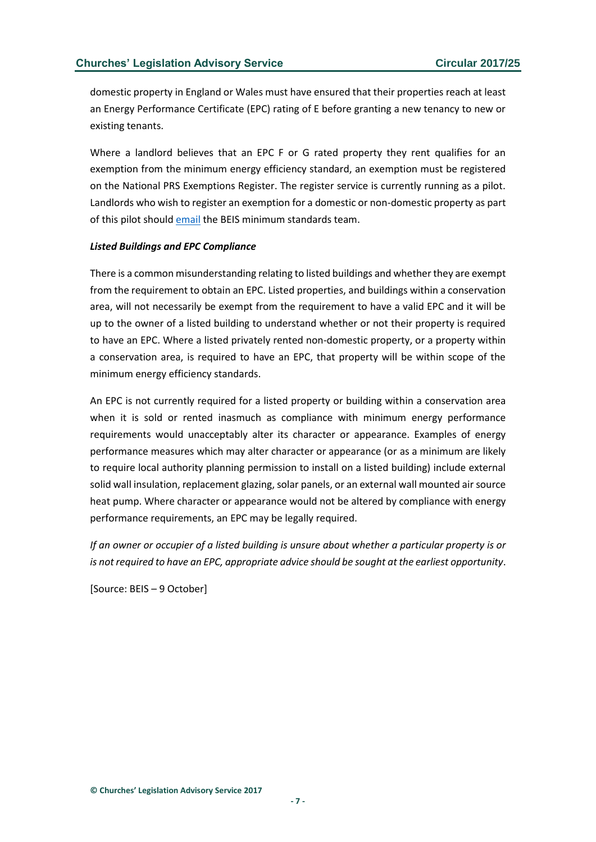domestic property in England or Wales must have ensured that their properties reach at least an Energy Performance Certificate (EPC) rating of E before granting a new tenancy to new or existing tenants.

Where a landlord believes that an EPC F or G rated property they rent qualifies for an exemption from the minimum energy efficiency standard, an exemption must be registered on the National PRS Exemptions Register. The register service is currently running as a pilot. Landlords who wish to register an exemption for a domestic or non-domestic property as part of this pilot should [email](mailto:PRSregisteraccess@beis.gov.uk) the BEIS minimum standards team.

#### *Listed Buildings and EPC Compliance*

There is a common misunderstanding relating to listed buildings and whether they are exempt from the requirement to obtain an EPC. Listed properties, and buildings within a conservation area, will not necessarily be exempt from the requirement to have a valid EPC and it will be up to the owner of a listed building to understand whether or not their property is required to have an EPC. Where a listed privately rented non-domestic property, or a property within a conservation area, is required to have an EPC, that property will be within scope of the minimum energy efficiency standards.

An EPC is not currently required for a listed property or building within a conservation area when it is sold or rented inasmuch as compliance with minimum energy performance requirements would unacceptably alter its character or appearance. Examples of energy performance measures which may alter character or appearance (or as a minimum are likely to require local authority planning permission to install on a listed building) include external solid wall insulation, replacement glazing, solar panels, or an external wall mounted air source heat pump. Where character or appearance would not be altered by compliance with energy performance requirements, an EPC may be legally required.

*If an owner or occupier of a listed building is unsure about whether a particular property is or is not required to have an EPC, appropriate advice should be sought at the earliest opportunity*.

[Source: BEIS – 9 October]